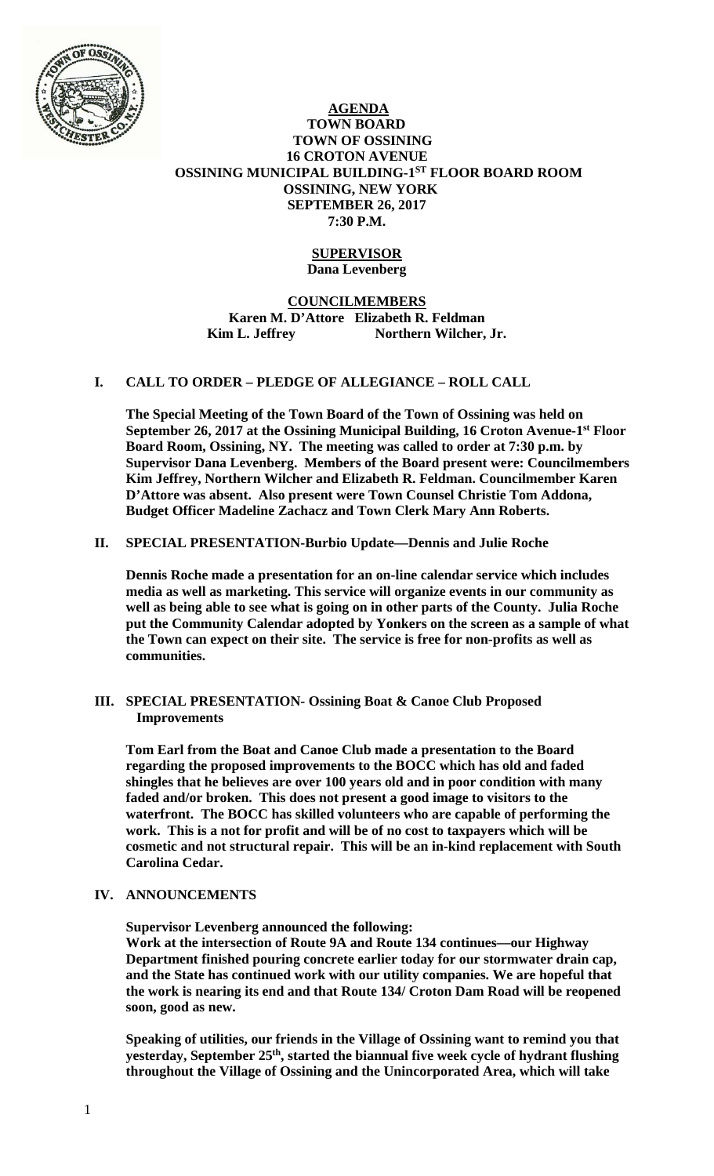

# **AGENDA TOWN BOARD TOWN OF OSSINING 16 CROTON AVENUE OSSINING MUNICIPAL BUILDING-1ST FLOOR BOARD ROOM OSSINING, NEW YORK SEPTEMBER 26, 2017 7:30 P.M.**

### **SUPERVISOR Dana Levenberg**

# **COUNCILMEMBERS Karen M. D'Attore Elizabeth R. Feldman**  Kim L. Jeffrey Northern Wilcher, Jr.

# **I. CALL TO ORDER – PLEDGE OF ALLEGIANCE – ROLL CALL**

**The Special Meeting of the Town Board of the Town of Ossining was held on September 26, 2017 at the Ossining Municipal Building, 16 Croton Avenue-1st Floor Board Room, Ossining, NY. The meeting was called to order at 7:30 p.m. by Supervisor Dana Levenberg. Members of the Board present were: Councilmembers Kim Jeffrey, Northern Wilcher and Elizabeth R. Feldman. Councilmember Karen D'Attore was absent. Also present were Town Counsel Christie Tom Addona, Budget Officer Madeline Zachacz and Town Clerk Mary Ann Roberts.** 

# **II. SPECIAL PRESENTATION-Burbio Update—Dennis and Julie Roche**

**Dennis Roche made a presentation for an on-line calendar service which includes media as well as marketing. This service will organize events in our community as well as being able to see what is going on in other parts of the County. Julia Roche put the Community Calendar adopted by Yonkers on the screen as a sample of what the Town can expect on their site. The service is free for non-profits as well as communities.** 

### **III. SPECIAL PRESENTATION- Ossining Boat & Canoe Club Proposed Improvements**

**Tom Earl from the Boat and Canoe Club made a presentation to the Board regarding the proposed improvements to the BOCC which has old and faded shingles that he believes are over 100 years old and in poor condition with many faded and/or broken. This does not present a good image to visitors to the waterfront. The BOCC has skilled volunteers who are capable of performing the work. This is a not for profit and will be of no cost to taxpayers which will be cosmetic and not structural repair. This will be an in-kind replacement with South Carolina Cedar.** 

# **IV. ANNOUNCEMENTS**

**Supervisor Levenberg announced the following:** 

**Work at the intersection of Route 9A and Route 134 continues—our Highway Department finished pouring concrete earlier today for our stormwater drain cap, and the State has continued work with our utility companies. We are hopeful that the work is nearing its end and that Route 134/ Croton Dam Road will be reopened soon, good as new.** 

**Speaking of utilities, our friends in the Village of Ossining want to remind you that yesterday, September 25th, started the biannual five week cycle of hydrant flushing throughout the Village of Ossining and the Unincorporated Area, which will take**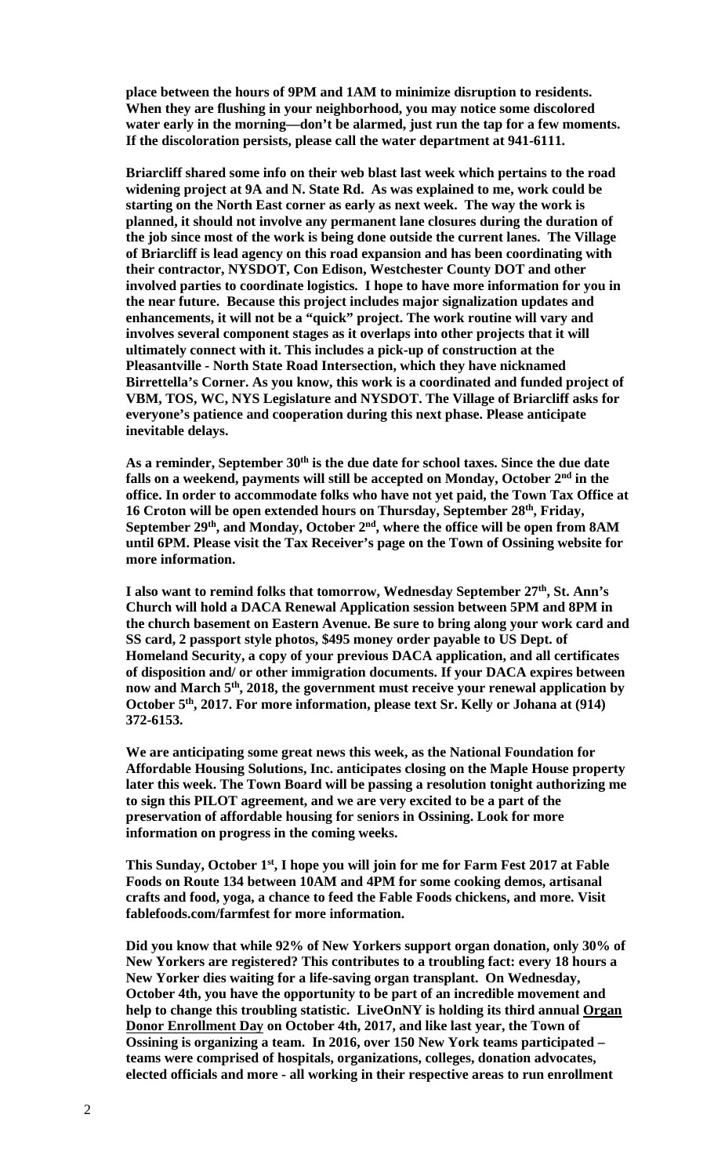**place between the hours of 9PM and 1AM to minimize disruption to residents. When they are flushing in your neighborhood, you may notice some discolored water early in the morning—don't be alarmed, just run the tap for a few moments. If the discoloration persists, please call the water department at 941-6111.** 

**Briarcliff shared some info on their web blast last week which pertains to the road widening project at 9A and N. State Rd. As was explained to me, work could be starting on the North East corner as early as next week. The way the work is planned, it should not involve any permanent lane closures during the duration of the job since most of the work is being done outside the current lanes. The Village of Briarcliff is lead agency on this road expansion and has been coordinating with their contractor, NYSDOT, Con Edison, Westchester County DOT and other involved parties to coordinate logistics. I hope to have more information for you in the near future. Because this project includes major signalization updates and enhancements, it will not be a "quick" project. The work routine will vary and involves several component stages as it overlaps into other projects that it will ultimately connect with it. This includes a pick-up of construction at the Pleasantville - North State Road Intersection, which they have nicknamed Birrettella's Corner. As you know, this work is a coordinated and funded project of VBM, TOS, WC, NYS Legislature and NYSDOT. The Village of Briarcliff asks for everyone's patience and cooperation during this next phase. Please anticipate inevitable delays.** 

**As a reminder, September 30th is the due date for school taxes. Since the due date**  falls on a weekend, payments will still be accepted on Monday, October 2<sup>nd</sup> in the **office. In order to accommodate folks who have not yet paid, the Town Tax Office at 16 Croton will be open extended hours on Thursday, September 28th, Friday,**  September 29<sup>th</sup>, and Monday, October 2<sup>nd</sup>, where the office will be open from 8AM **until 6PM. Please visit the Tax Receiver's page on the Town of Ossining website for more information.** 

**I also want to remind folks that tomorrow, Wednesday September 27th, St. Ann's Church will hold a DACA Renewal Application session between 5PM and 8PM in the church basement on Eastern Avenue. Be sure to bring along your work card and SS card, 2 passport style photos, \$495 money order payable to US Dept. of Homeland Security, a copy of your previous DACA application, and all certificates of disposition and/ or other immigration documents. If your DACA expires between now and March 5th, 2018, the government must receive your renewal application by October 5th, 2017. For more information, please text Sr. Kelly or Johana at (914) 372-6153.** 

**We are anticipating some great news this week, as the National Foundation for Affordable Housing Solutions, Inc. anticipates closing on the Maple House property later this week. The Town Board will be passing a resolution tonight authorizing me to sign this PILOT agreement, and we are very excited to be a part of the preservation of affordable housing for seniors in Ossining. Look for more information on progress in the coming weeks.** 

**This Sunday, October 1st, I hope you will join for me for Farm Fest 2017 at Fable Foods on Route 134 between 10AM and 4PM for some cooking demos, artisanal crafts and food, yoga, a chance to feed the Fable Foods chickens, and more. Visit fablefoods.com/farmfest for more information.** 

**Did you know that while 92% of New Yorkers support organ donation, only 30% of New Yorkers are registered? This contributes to a troubling fact: every 18 hours a New Yorker dies waiting for a life-saving organ transplant. On Wednesday, October 4th, you have the opportunity to be part of an incredible movement and help to change this troubling statistic. LiveOnNY is holding its third annual Organ Donor Enrollment Day on October 4th, 2017, and like last year, the Town of Ossining is organizing a team. In 2016, over 150 New York teams participated – teams were comprised of hospitals, organizations, colleges, donation advocates, elected officials and more - all working in their respective areas to run enrollment**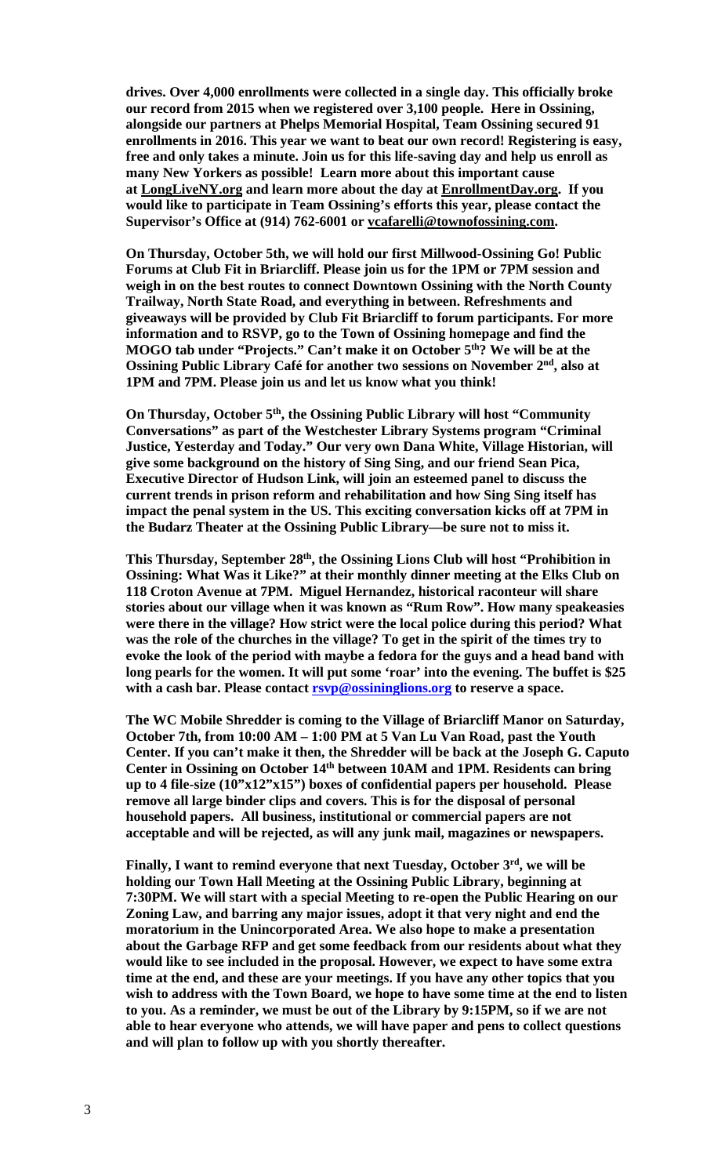**drives. Over 4,000 enrollments were collected in a single day. This officially broke our record from 2015 when we registered over 3,100 people. Here in Ossining, alongside our partners at Phelps Memorial Hospital, Team Ossining secured 91 enrollments in 2016. This year we want to beat our own record! Registering is easy, free and only takes a minute. Join us for this life-saving day and help us enroll as many New Yorkers as possible! Learn more about this important cause at LongLiveNY.org and learn more about the day at EnrollmentDay.org. If you would like to participate in Team Ossining's efforts this year, please contact the Supervisor's Office at (914) 762-6001 or vcafarelli@townofossining.com.** 

**On Thursday, October 5th, we will hold our first Millwood-Ossining Go! Public Forums at Club Fit in Briarcliff. Please join us for the 1PM or 7PM session and weigh in on the best routes to connect Downtown Ossining with the North County Trailway, North State Road, and everything in between. Refreshments and giveaways will be provided by Club Fit Briarcliff to forum participants. For more information and to RSVP, go to the Town of Ossining homepage and find the MOGO tab under "Projects." Can't make it on October 5th? We will be at the Ossining Public Library Café for another two sessions on November 2nd, also at 1PM and 7PM. Please join us and let us know what you think!** 

**On Thursday, October 5th, the Ossining Public Library will host "Community Conversations" as part of the Westchester Library Systems program "Criminal Justice, Yesterday and Today." Our very own Dana White, Village Historian, will give some background on the history of Sing Sing, and our friend Sean Pica, Executive Director of Hudson Link, will join an esteemed panel to discuss the current trends in prison reform and rehabilitation and how Sing Sing itself has impact the penal system in the US. This exciting conversation kicks off at 7PM in the Budarz Theater at the Ossining Public Library—be sure not to miss it.** 

This Thursday, September 28<sup>th</sup>, the Ossining Lions Club will host "Prohibition in **Ossining: What Was it Like?" at their monthly dinner meeting at the Elks Club on 118 Croton Avenue at 7PM. Miguel Hernandez, historical raconteur will share stories about our village when it was known as "Rum Row". How many speakeasies were there in the village? How strict were the local police during this period? What was the role of the churches in the village? To get in the spirit of the times try to evoke the look of the period with maybe a fedora for the guys and a head band with long pearls for the women. It will put some 'roar' into the evening. The buffet is \$25**  with a cash bar. Please contact **rsvp@ossininglions.org** to reserve a space.

**The WC Mobile Shredder is coming to the Village of Briarcliff Manor on Saturday, October 7th, from 10:00 AM – 1:00 PM at 5 Van Lu Van Road, past the Youth Center. If you can't make it then, the Shredder will be back at the Joseph G. Caputo Center in Ossining on October 14th between 10AM and 1PM. Residents can bring up to 4 file-size (10"x12"x15") boxes of confidential papers per household. Please remove all large binder clips and covers. This is for the disposal of personal household papers. All business, institutional or commercial papers are not acceptable and will be rejected, as will any junk mail, magazines or newspapers.** 

**Finally, I want to remind everyone that next Tuesday, October 3rd, we will be holding our Town Hall Meeting at the Ossining Public Library, beginning at 7:30PM. We will start with a special Meeting to re-open the Public Hearing on our Zoning Law, and barring any major issues, adopt it that very night and end the moratorium in the Unincorporated Area. We also hope to make a presentation about the Garbage RFP and get some feedback from our residents about what they would like to see included in the proposal. However, we expect to have some extra time at the end, and these are your meetings. If you have any other topics that you wish to address with the Town Board, we hope to have some time at the end to listen to you. As a reminder, we must be out of the Library by 9:15PM, so if we are not able to hear everyone who attends, we will have paper and pens to collect questions and will plan to follow up with you shortly thereafter.**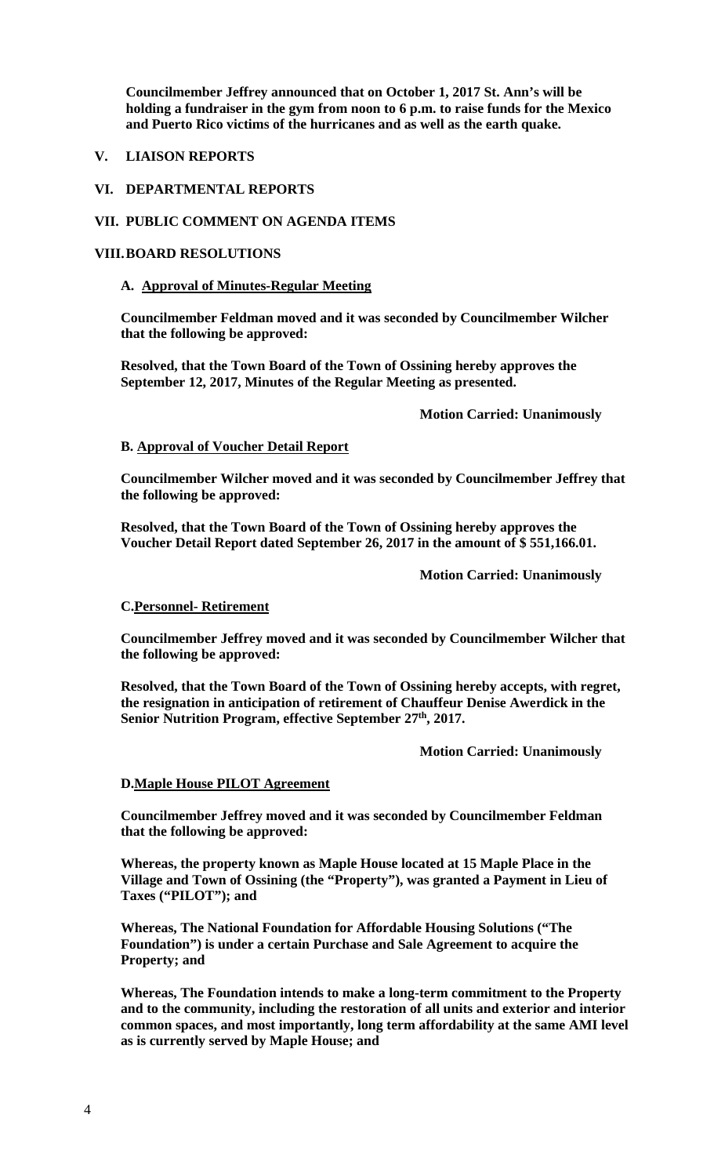**Councilmember Jeffrey announced that on October 1, 2017 St. Ann's will be holding a fundraiser in the gym from noon to 6 p.m. to raise funds for the Mexico and Puerto Rico victims of the hurricanes and as well as the earth quake.** 

## **V. LIAISON REPORTS**

### **VI. DEPARTMENTAL REPORTS**

#### **VII. PUBLIC COMMENT ON AGENDA ITEMS**

### **VIII.BOARD RESOLUTIONS**

#### **A. Approval of Minutes-Regular Meeting**

**Councilmember Feldman moved and it was seconded by Councilmember Wilcher that the following be approved:** 

**Resolved, that the Town Board of the Town of Ossining hereby approves the September 12, 2017, Minutes of the Regular Meeting as presented.** 

 **Motion Carried: Unanimously** 

#### **B. Approval of Voucher Detail Report**

**Councilmember Wilcher moved and it was seconded by Councilmember Jeffrey that the following be approved:** 

**Resolved, that the Town Board of the Town of Ossining hereby approves the Voucher Detail Report dated September 26, 2017 in the amount of \$ 551,166.01.** 

 **Motion Carried: Unanimously** 

#### **C.Personnel- Retirement**

**Councilmember Jeffrey moved and it was seconded by Councilmember Wilcher that the following be approved:** 

**Resolved, that the Town Board of the Town of Ossining hereby accepts, with regret, the resignation in anticipation of retirement of Chauffeur Denise Awerdick in the**  Senior Nutrition Program, effective September 27<sup>th</sup>, 2017.

#### **Motion Carried: Unanimously**

#### **D.Maple House PILOT Agreement**

**Councilmember Jeffrey moved and it was seconded by Councilmember Feldman that the following be approved:** 

**Whereas, the property known as Maple House located at 15 Maple Place in the Village and Town of Ossining (the "Property"), was granted a Payment in Lieu of Taxes ("PILOT"); and** 

**Whereas, The National Foundation for Affordable Housing Solutions ("The Foundation") is under a certain Purchase and Sale Agreement to acquire the Property; and** 

**Whereas, The Foundation intends to make a long-term commitment to the Property and to the community, including the restoration of all units and exterior and interior common spaces, and most importantly, long term affordability at the same AMI level as is currently served by Maple House; and**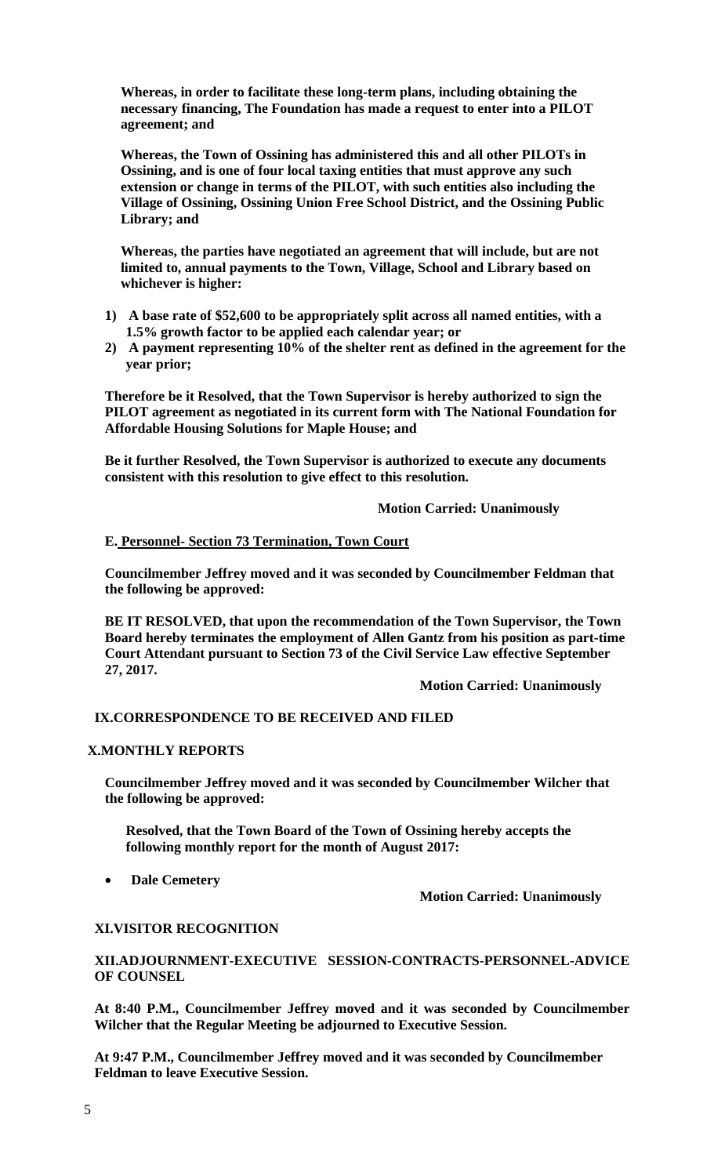**Whereas, in order to facilitate these long-term plans, including obtaining the necessary financing, The Foundation has made a request to enter into a PILOT agreement; and** 

**Whereas, the Town of Ossining has administered this and all other PILOTs in Ossining, and is one of four local taxing entities that must approve any such extension or change in terms of the PILOT, with such entities also including the Village of Ossining, Ossining Union Free School District, and the Ossining Public Library; and** 

**Whereas, the parties have negotiated an agreement that will include, but are not limited to, annual payments to the Town, Village, School and Library based on whichever is higher:** 

- **1) A base rate of \$52,600 to be appropriately split across all named entities, with a 1.5% growth factor to be applied each calendar year; or**
- **2) A payment representing 10% of the shelter rent as defined in the agreement for the year prior;**

**Therefore be it Resolved, that the Town Supervisor is hereby authorized to sign the PILOT agreement as negotiated in its current form with The National Foundation for Affordable Housing Solutions for Maple House; and** 

**Be it further Resolved, the Town Supervisor is authorized to execute any documents consistent with this resolution to give effect to this resolution.** 

 **Motion Carried: Unanimously** 

### **E. Personnel- Section 73 Termination, Town Court**

**Councilmember Jeffrey moved and it was seconded by Councilmember Feldman that the following be approved:** 

**BE IT RESOLVED, that upon the recommendation of the Town Supervisor, the Town Board hereby terminates the employment of Allen Gantz from his position as part-time Court Attendant pursuant to Section 73 of the Civil Service Law effective September 27, 2017.** 

 **Motion Carried: Unanimously** 

#### **IX.CORRESPONDENCE TO BE RECEIVED AND FILED**

#### **X.MONTHLY REPORTS**

**Councilmember Jeffrey moved and it was seconded by Councilmember Wilcher that the following be approved:** 

**Resolved, that the Town Board of the Town of Ossining hereby accepts the following monthly report for the month of August 2017:** 

**Dale Cemetery** 

 **Motion Carried: Unanimously** 

### **XI.VISITOR RECOGNITION**

**XII.ADJOURNMENT-EXECUTIVE SESSION-CONTRACTS-PERSONNEL-ADVICE OF COUNSEL** 

**At 8:40 P.M., Councilmember Jeffrey moved and it was seconded by Councilmember Wilcher that the Regular Meeting be adjourned to Executive Session.** 

**At 9:47 P.M., Councilmember Jeffrey moved and it was seconded by Councilmember Feldman to leave Executive Session.**